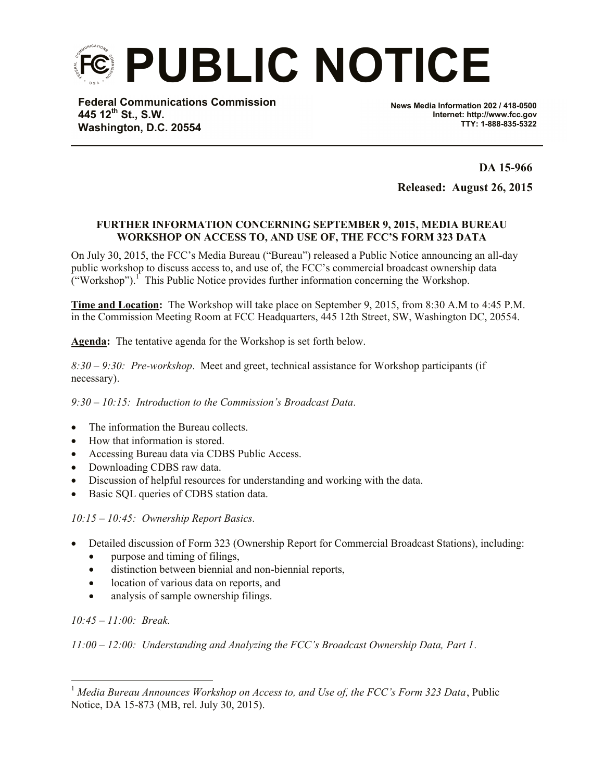**PUBLIC NOTICE**

**Federal Communications Commission 445 12th St., S.W. Washington, D.C. 20554**

**News Media Information 202 / 418-0500 Internet: http://www.fcc.gov TTY: 1-888-835-5322**

**DA 15-966 Released: August 26, 2015**

## **FURTHER INFORMATION CONCERNING SEPTEMBER 9, 2015, MEDIA BUREAU WORKSHOP ON ACCESS TO, AND USE OF, THE FCC'S FORM 323 DATA**

On July 30, 2015, the FCC's Media Bureau ("Bureau") released a Public Notice announcing an all-day public workshop to discuss access to, and use of, the FCC's commercial broadcast ownership data  $\left(\text{``Workshop''}\right)$ . This Public Notice provides further information concerning the Workshop.

**Time and Location:** The Workshop will take place on September 9, 2015, from 8:30 A.M to 4:45 P.M. in the Commission Meeting Room at FCC Headquarters, 445 12th Street, SW, Washington DC, 20554.

**Agenda:** The tentative agenda for the Workshop is set forth below.

*8:30 – 9:30: Pre-workshop*. Meet and greet, technical assistance for Workshop participants (if necessary).

*9:30 – 10:15: Introduction to the Commission's Broadcast Data.*

- The information the Bureau collects.
- How that information is stored.
- Accessing Bureau data via CDBS Public Access.
- Downloading CDBS raw data.
- Discussion of helpful resources for understanding and working with the data.
- Basic SQL queries of CDBS station data.

*10:15 – 10:45: Ownership Report Basics.*

- Detailed discussion of Form 323 (Ownership Report for Commercial Broadcast Stations), including:
	- purpose and timing of filings,
	- distinction between biennial and non-biennial reports,
	- location of various data on reports, and
	- analysis of sample ownership filings.

*10:45 – 11:00: Break.*

 $\overline{a}$ 

*11:00 – 12:00: Understanding and Analyzing the FCC's Broadcast Ownership Data, Part 1.*

<sup>1</sup> *Media Bureau Announces Workshop on Access to, and Use of, the FCC's Form 323 Data*, Public Notice, DA 15-873 (MB, rel. July 30, 2015).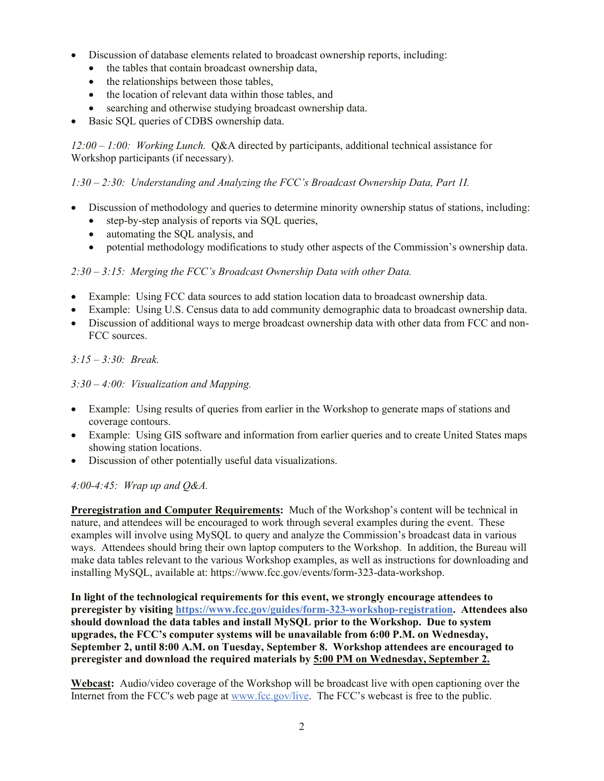- Discussion of database elements related to broadcast ownership reports, including:
	- the tables that contain broadcast ownership data,
	- the relationships between those tables,
	- the location of relevant data within those tables, and
	- searching and otherwise studying broadcast ownership data.
- Basic SQL queries of CDBS ownership data.

*12:00 – 1:00: Working Lunch.* Q&A directed by participants, additional technical assistance for Workshop participants (if necessary).

## *1:30 – 2:30: Understanding and Analyzing the FCC's Broadcast Ownership Data, Part 1I.*

- Discussion of methodology and queries to determine minority ownership status of stations, including:
	- step-by-step analysis of reports via SQL queries,
	- automating the SQL analysis, and
	- potential methodology modifications to study other aspects of the Commission's ownership data.

## *2:30 – 3:15: Merging the FCC's Broadcast Ownership Data with other Data.*

- Example: Using FCC data sources to add station location data to broadcast ownership data.
- Example: Using U.S. Census data to add community demographic data to broadcast ownership data.
- Discussion of additional ways to merge broadcast ownership data with other data from FCC and non-FCC sources.

*3:15 – 3:30: Break.*

*3:30 – 4:00: Visualization and Mapping.*

- Example: Using results of queries from earlier in the Workshop to generate maps of stations and coverage contours.
- Example: Using GIS software and information from earlier queries and to create United States maps showing station locations.
- Discussion of other potentially useful data visualizations.

## *4:00-4:45: Wrap up and Q&A.*

**Preregistration and Computer Requirements:** Much of the Workshop's content will be technical in nature, and attendees will be encouraged to work through several examples during the event. These examples will involve using MySQL to query and analyze the Commission's broadcast data in various ways. Attendees should bring their own laptop computers to the Workshop. In addition, the Bureau will make data tables relevant to the various Workshop examples, as well as instructions for downloading and installing MySQL, available at: https://www.fcc.gov/events/form-323-data-workshop.

**In light of the technological requirements for this event, we strongly encourage attendees to preregister by visiting https://www.fcc.gov/guides/form-323-workshop-registration. Attendees also should download the data tables and install MySQL prior to the Workshop. Due to system upgrades, the FCC's computer systems will be unavailable from 6:00 P.M. on Wednesday, September 2, until 8:00 A.M. on Tuesday, September 8. Workshop attendees are encouraged to preregister and download the required materials by 5:00 PM on Wednesday, September 2.**

**Webcast:** Audio/video coverage of the Workshop will be broadcast live with open captioning over the Internet from the FCC's web page at www.fcc.gov/live. The FCC's webcast is free to the public.